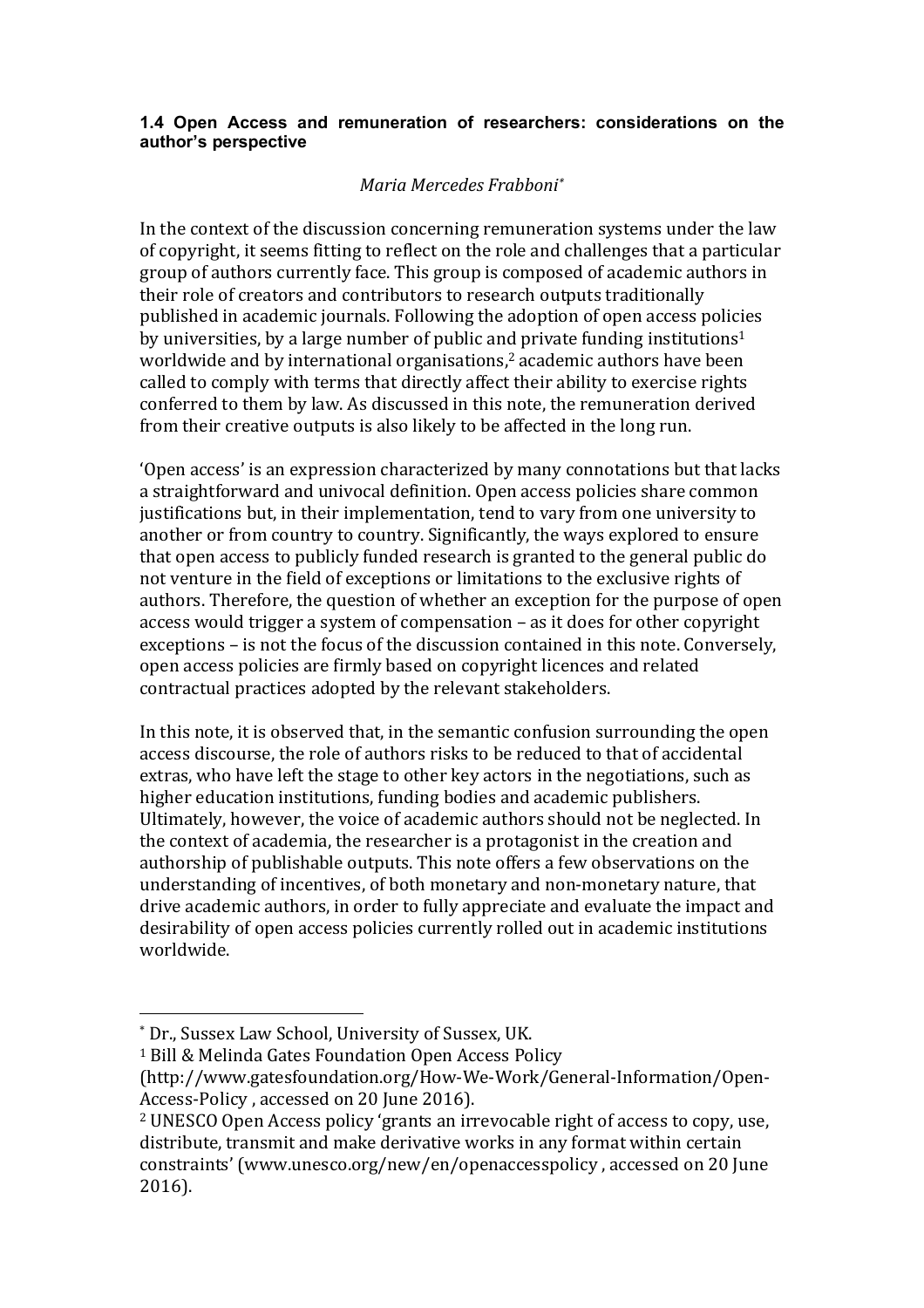#### **1.4 Open Access and remuneration of researchers: considerations on the author's perspective**

### *Maria Mercedes Frabboni\**

In the context of the discussion concerning remuneration systems under the law of copyright, it seems fitting to reflect on the role and challenges that a particular group of authors currently face. This group is composed of academic authors in their role of creators and contributors to research outputs traditionally published in academic journals. Following the adoption of open access policies by universities, by a large number of public and private funding institutions<sup>1</sup> worldwide and by international organisations, $2$  academic authors have been called to comply with terms that directly affect their ability to exercise rights conferred to them by law. As discussed in this note, the remuneration derived from their creative outputs is also likely to be affected in the long run.

'Open access' is an expression characterized by many connotations but that lacks a straightforward and univocal definition. Open access policies share common justifications but, in their implementation, tend to vary from one university to another or from country to country. Significantly, the ways explored to ensure that open access to publicly funded research is granted to the general public do not venture in the field of exceptions or limitations to the exclusive rights of authors. Therefore, the question of whether an exception for the purpose of open access would trigger a system of compensation – as it does for other copyright exceptions – is not the focus of the discussion contained in this note. Conversely, open access policies are firmly based on copyright licences and related contractual practices adopted by the relevant stakeholders.

In this note, it is observed that, in the semantic confusion surrounding the open access discourse, the role of authors risks to be reduced to that of accidental extras, who have left the stage to other key actors in the negotiations, such as higher education institutions, funding bodies and academic publishers. Ultimately, however, the voice of academic authors should not be neglected. In the context of academia, the researcher is a protagonist in the creation and authorship of publishable outputs. This note offers a few observations on the understanding of incentives, of both monetary and non-monetary nature, that drive academic authors, in order to fully appreciate and evaluate the impact and desirability of open access policies currently rolled out in academic institutions worldwide. 

 

<sup>1</sup> Bill & Melinda Gates Foundation Open Access Policy

<sup>\*</sup> Dr., Sussex Law School, University of Sussex, UK.

<sup>(</sup>http://www.gatesfoundation.org/How-We-Work/General-Information/Open-Access-Policy, accessed on 20 June 2016).

<sup>&</sup>lt;sup>2</sup> UNESCO Open Access policy 'grants an irrevocable right of access to copy, use, distribute, transmit and make derivative works in any format within certain constraints' (www.unesco.org/new/en/openaccesspolicy, accessed on 20 June 2016).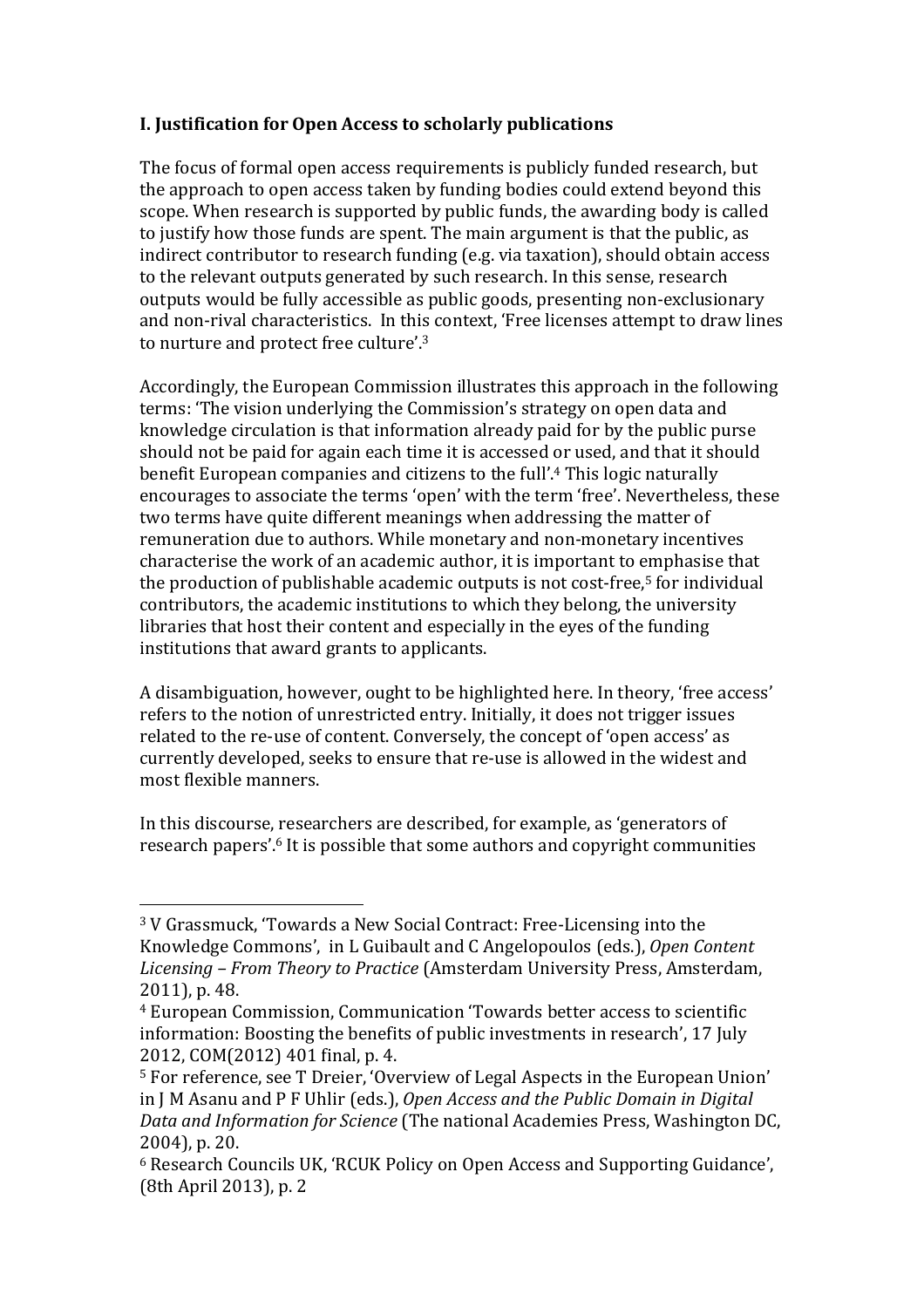# **I. Justification for Open Access to scholarly publications**

The focus of formal open access requirements is publicly funded research, but the approach to open access taken by funding bodies could extend beyond this scope. When research is supported by public funds, the awarding body is called to justify how those funds are spent. The main argument is that the public, as indirect contributor to research funding (e.g. via taxation), should obtain access to the relevant outputs generated by such research. In this sense, research outputs would be fully accessible as public goods, presenting non-exclusionary and non-rival characteristics. In this context, 'Free licenses attempt to draw lines to nurture and protect free culture'.<sup>3</sup>

Accordingly, the European Commission illustrates this approach in the following terms: 'The vision underlying the Commission's strategy on open data and knowledge circulation is that information already paid for by the public purse should not be paid for again each time it is accessed or used, and that it should benefit European companies and citizens to the full'.<sup>4</sup> This logic naturally encourages to associate the terms 'open' with the term 'free'. Nevertheless, these two terms have quite different meanings when addressing the matter of remuneration due to authors. While monetary and non-monetary incentives characterise the work of an academic author, it is important to emphasise that the production of publishable academic outputs is not cost-free, $5$  for individual contributors, the academic institutions to which they belong, the university libraries that host their content and especially in the eyes of the funding institutions that award grants to applicants.

A disambiguation, however, ought to be highlighted here. In theory, 'free access' refers to the notion of unrestricted entry. Initially, it does not trigger issues related to the re-use of content. Conversely, the concept of 'open access' as currently developed, seeks to ensure that re-use is allowed in the widest and most flexible manners.

In this discourse, researchers are described, for example, as 'generators of research papers'.<sup>6</sup> It is possible that some authors and copyright communities

<sup>&</sup>lt;sup>3</sup> V Grassmuck, 'Towards a New Social Contract: Free-Licensing into the Knowledge Commons', in L Guibault and C Angelopoulos (eds.), Open Content *Licensing* – *From Theory to Practice* (Amsterdam University Press, Amsterdam, 2011), p. 48.

<sup>&</sup>lt;sup>4</sup> European Commission, Communication 'Towards better access to scientific information: Boosting the benefits of public investments in research', 17 July 2012, COM(2012) 401 final, p. 4.

<sup>&</sup>lt;sup>5</sup> For reference, see T Dreier, 'Overview of Legal Aspects in the European Union' in J M Asanu and P F Uhlir (eds.), *Open Access and the Public Domain in Digital Data and Information for Science* (The national Academies Press, Washington DC, 2004), p. 20.

<sup>&</sup>lt;sup>6</sup> Research Councils UK, 'RCUK Policy on Open Access and Supporting Guidance', (8th April 2013), p. 2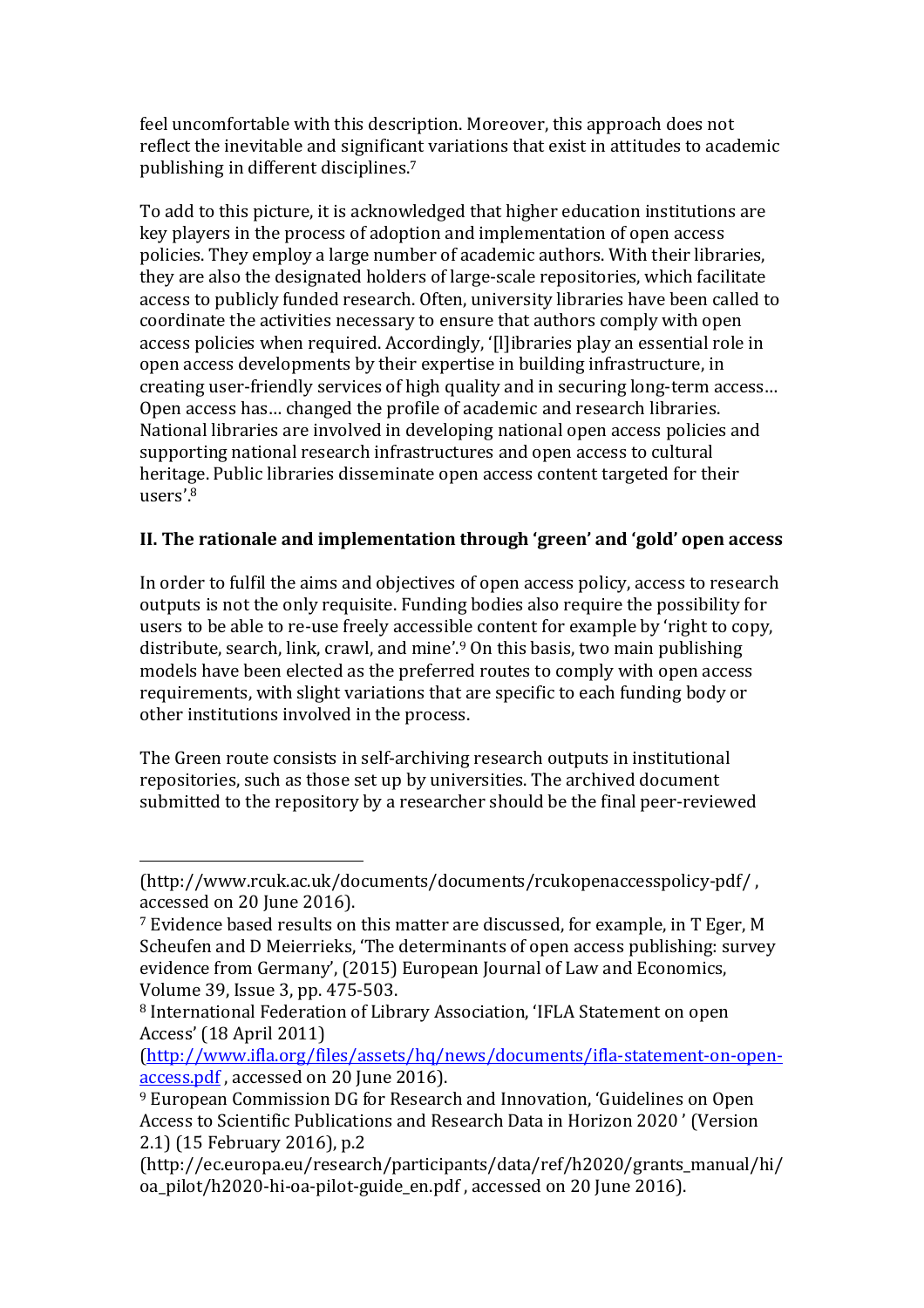feel uncomfortable with this description. Moreover, this approach does not reflect the inevitable and significant variations that exist in attitudes to academic publishing in different disciplines.<sup>7</sup>

To add to this picture, it is acknowledged that higher education institutions are key players in the process of adoption and implementation of open access policies. They employ a large number of academic authors. With their libraries, they are also the designated holders of large-scale repositories, which facilitate access to publicly funded research. Often, university libraries have been called to coordinate the activities necessary to ensure that authors comply with open access policies when required. Accordingly, '[l]ibraries play an essential role in open access developments by their expertise in building infrastructure, in creating user-friendly services of high quality and in securing long-term access... Open access has... changed the profile of academic and research libraries. National libraries are involved in developing national open access policies and supporting national research infrastructures and open access to cultural heritage. Public libraries disseminate open access content targeted for their users'. 8

## II. The rationale and implementation through 'green' and 'gold' open access

In order to fulfil the aims and objectives of open access policy, access to research outputs is not the only requisite. Funding bodies also require the possibility for users to be able to re-use freely accessible content for example by 'right to copy, distribute, search, link, crawl, and mine'.<sup>9</sup> On this basis, two main publishing models have been elected as the preferred routes to comply with open access requirements, with slight variations that are specific to each funding body or other institutions involved in the process.

The Green route consists in self-archiving research outputs in institutional repositories, such as those set up by universities. The archived document submitted to the repository by a researcher should be the final peer-reviewed

<sup>(</sup>http://www.rcuk.ac.uk/documents/documents/rcukopenaccesspolicy-pdf/ , accessed on 20 June 2016).

<sup>&</sup>lt;sup>7</sup> Evidence based results on this matter are discussed, for example, in T Eger, M Scheufen and D Meierrieks, 'The determinants of open access publishing: survey evidence from Germany', (2015) European Journal of Law and Economics, Volume 39, Issue 3, pp. 475-503.

<sup>&</sup>lt;sup>8</sup> International Federation of Library Association, 'IFLA Statement on open Access' (18 April 2011)

<sup>(</sup>http://www.ifla.org/files/assets/hq/news/documents/ifla-statement-on-openaccess.pdf, accessed on 20 June 2016).

<sup>&</sup>lt;sup>9</sup> European Commission DG for Research and Innovation, 'Guidelines on Open Access to Scientific Publications and Research Data in Horizon 2020' (Version 2.1) (15 February 2016), p.2

<sup>(</sup>http://ec.europa.eu/research/participants/data/ref/h2020/grants\_manual/hi/ oa\_pilot/h2020-hi-oa-pilot-guide\_en.pdf, accessed on 20 June 2016).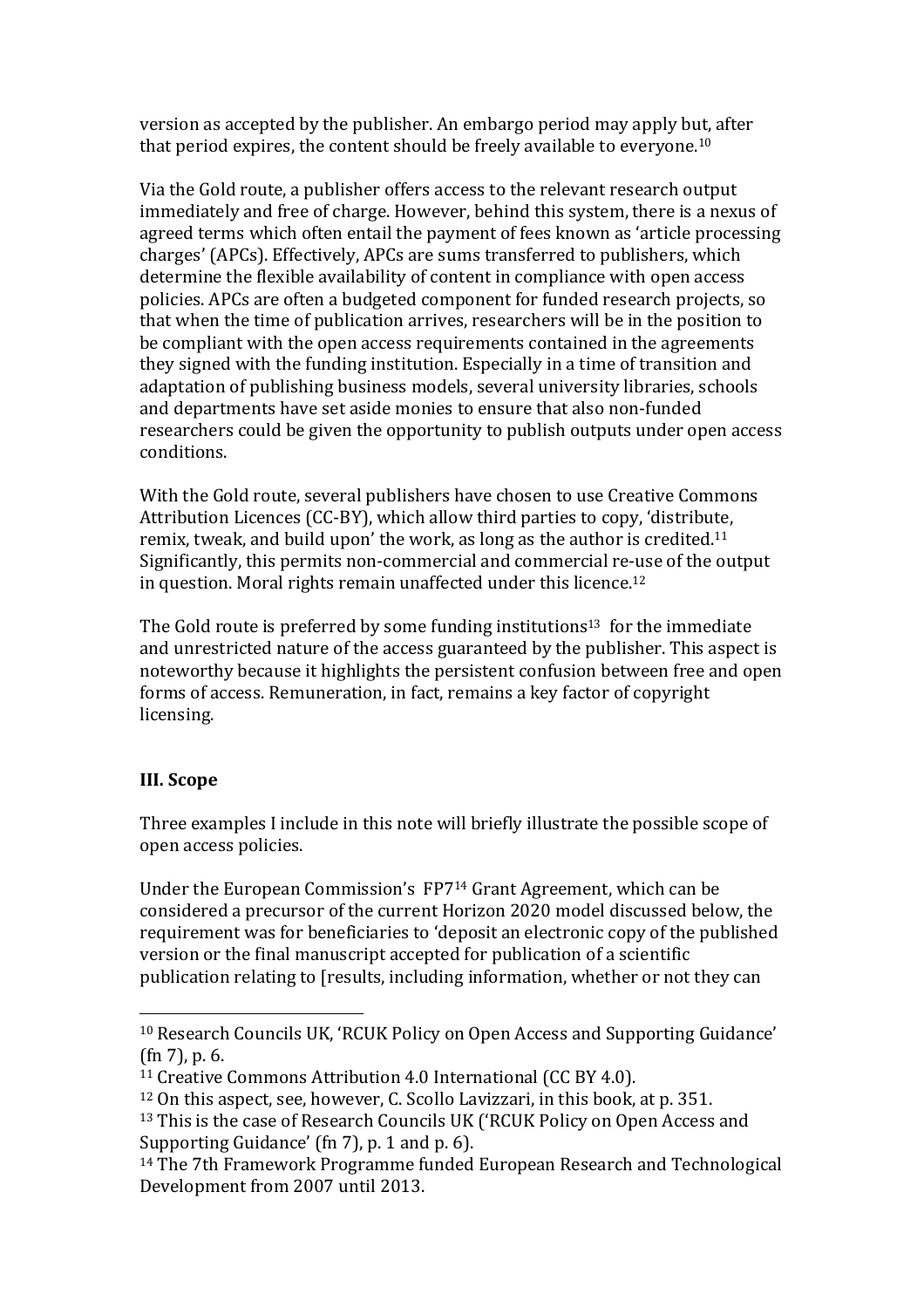version as accepted by the publisher. An embargo period may apply but, after that period expires, the content should be freely available to everyone.<sup>10</sup>

Via the Gold route, a publisher offers access to the relevant research output immediately and free of charge. However, behind this system, there is a nexus of agreed terms which often entail the payment of fees known as 'article processing charges' (APCs). Effectively, APCs are sums transferred to publishers, which determine the flexible availability of content in compliance with open access policies. APCs are often a budgeted component for funded research projects, so that when the time of publication arrives, researchers will be in the position to be compliant with the open access requirements contained in the agreements they signed with the funding institution. Especially in a time of transition and adaptation of publishing business models, several university libraries, schools and departments have set aside monies to ensure that also non-funded researchers could be given the opportunity to publish outputs under open access conditions. 

With the Gold route, several publishers have chosen to use Creative Commons Attribution Licences (CC-BY), which allow third parties to copy, 'distribute, remix, tweak, and build upon' the work, as long as the author is credited.<sup>11</sup> Significantly, this permits non-commercial and commercial re-use of the output in question. Moral rights remain unaffected under this licence.<sup>12</sup>

The Gold route is preferred by some funding institutions<sup>13</sup> for the immediate and unrestricted nature of the access guaranteed by the publisher. This aspect is noteworthy because it highlights the persistent confusion between free and open forms of access. Remuneration, in fact, remains a key factor of copyright licensing.

### **III. Scope**

 

Three examples I include in this note will briefly illustrate the possible scope of open access policies.

Under the European Commission's FP7<sup>14</sup> Grant Agreement, which can be considered a precursor of the current Horizon 2020 model discussed below, the requirement was for beneficiaries to 'deposit an electronic copy of the published version or the final manuscript accepted for publication of a scientific publication relating to [results, including information, whether or not they can

<sup>&</sup>lt;sup>10</sup> Research Councils UK, 'RCUK Policy on Open Access and Supporting Guidance'  $(\text{fn } 7)$ , p. 6.

<sup>&</sup>lt;sup>11</sup> Creative Commons Attribution 4.0 International (CC BY 4.0).

<sup>&</sup>lt;sup>12</sup> On this aspect, see, however, C. Scollo Lavizzari, in this book, at p. 351.

<sup>&</sup>lt;sup>13</sup> This is the case of Research Councils UK ('RCUK Policy on Open Access and Supporting Guidance' (fn 7), p. 1 and p. 6).

 $14$  The 7th Framework Programme funded European Research and Technological Development from 2007 until 2013.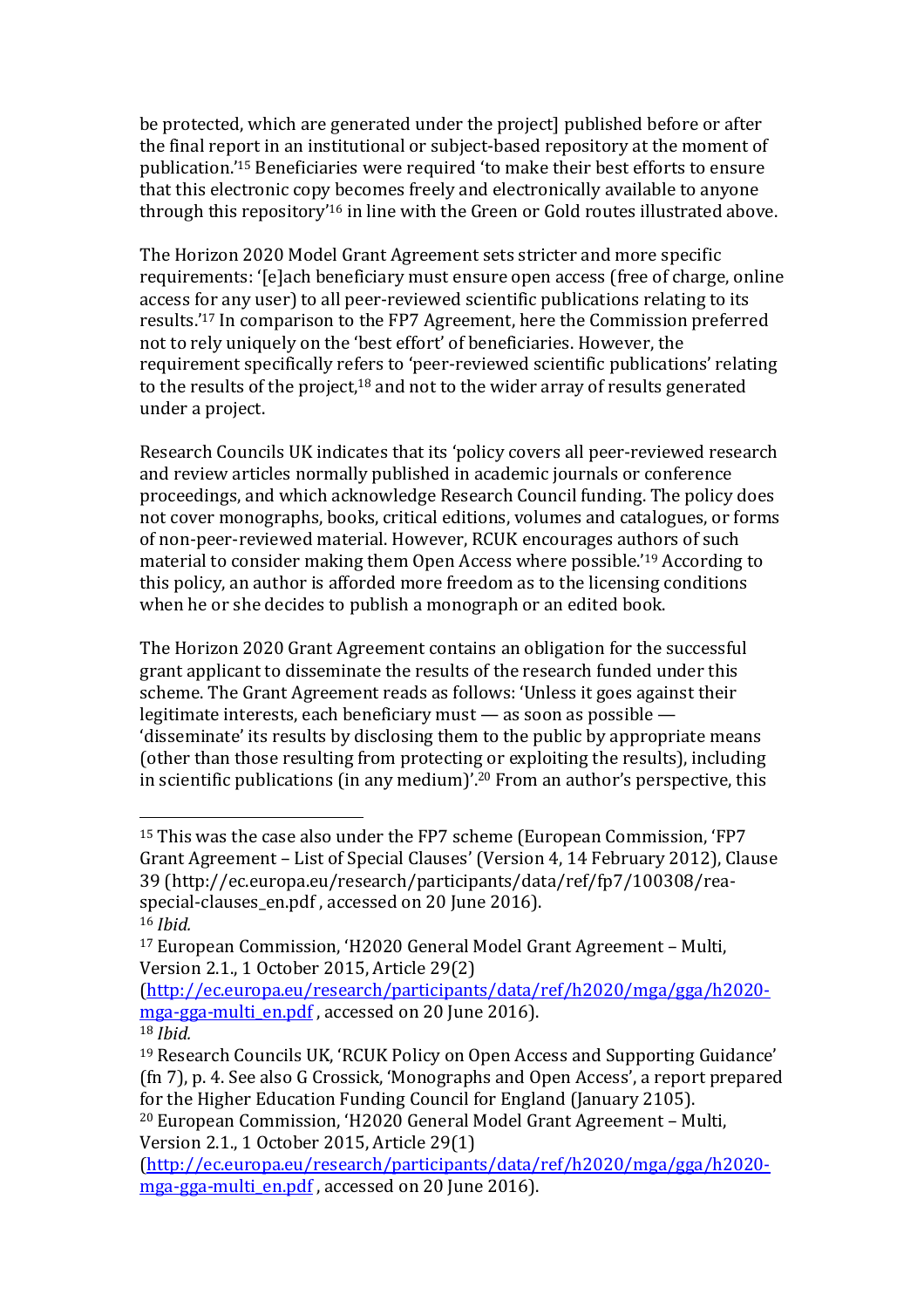be protected, which are generated under the project] published before or after the final report in an institutional or subject-based repository at the moment of publication.'<sup>15</sup> Beneficiaries were required 'to make their best efforts to ensure that this electronic copy becomes freely and electronically available to anyone through this repository'<sup>16</sup> in line with the Green or Gold routes illustrated above.

The Horizon 2020 Model Grant Agreement sets stricter and more specific requirements: '[e]ach beneficiary must ensure open access (free of charge, online access for any user) to all peer-reviewed scientific publications relating to its results.'<sup>17</sup> In comparison to the FP7 Agreement, here the Commission preferred not to rely uniquely on the 'best effort' of beneficiaries. However, the requirement specifically refers to 'peer-reviewed scientific publications' relating to the results of the project,<sup>18</sup> and not to the wider array of results generated under a project.

Research Councils UK indicates that its 'policy covers all peer-reviewed research and review articles normally published in academic journals or conference proceedings, and which acknowledge Research Council funding. The policy does not cover monographs, books, critical editions, volumes and catalogues, or forms of non-peer-reviewed material. However, RCUK encourages authors of such material to consider making them Open Access where possible.'<sup>19</sup> According to this policy, an author is afforded more freedom as to the licensing conditions when he or she decides to publish a monograph or an edited book.

The Horizon 2020 Grant Agreement contains an obligation for the successful grant applicant to disseminate the results of the research funded under this scheme. The Grant Agreement reads as follows: 'Unless it goes against their legitimate interests, each beneficiary must  $-$  as soon as possible  $-$ 'disseminate' its results by disclosing them to the public by appropriate means (other than those resulting from protecting or exploiting the results), including in scientific publications (in any medium)'.<sup>20</sup> From an author's perspective, this

<sup>&</sup>lt;sup>15</sup> This was the case also under the FP7 scheme (European Commission, 'FP7 Grant Agreement – List of Special Clauses' (Version 4, 14 February 2012), Clause 39 (http://ec.europa.eu/research/participants/data/ref/fp7/100308/reaspecial-clauses\_en.pdf, accessed on 20 June 2016). <sup>16</sup> *Ibid.*

 $17$  European Commission, 'H2020 General Model Grant Agreement – Multi, Version 2.1., 1 October 2015, Article 29(2)

<sup>(</sup>http://ec.europa.eu/research/participants/data/ref/h2020/mga/gga/h2020 mga-gga-multi en.pdf, accessed on 20 June 2016). <sup>18</sup> *Ibid.*

<sup>&</sup>lt;sup>19</sup> Research Councils UK, 'RCUK Policy on Open Access and Supporting Guidance' (fn 7), p. 4. See also G Crossick, 'Monographs and Open Access', a report prepared for the Higher Education Funding Council for England (January 2105).

<sup>&</sup>lt;sup>20</sup> European Commission, 'H2020 General Model Grant Agreement - Multi, Version 2.1., 1 October 2015, Article 29(1)

<sup>(</sup>http://ec.europa.eu/research/participants/data/ref/h2020/mga/gga/h2020 mga-gga-multi en.pdf, accessed on 20 June 2016).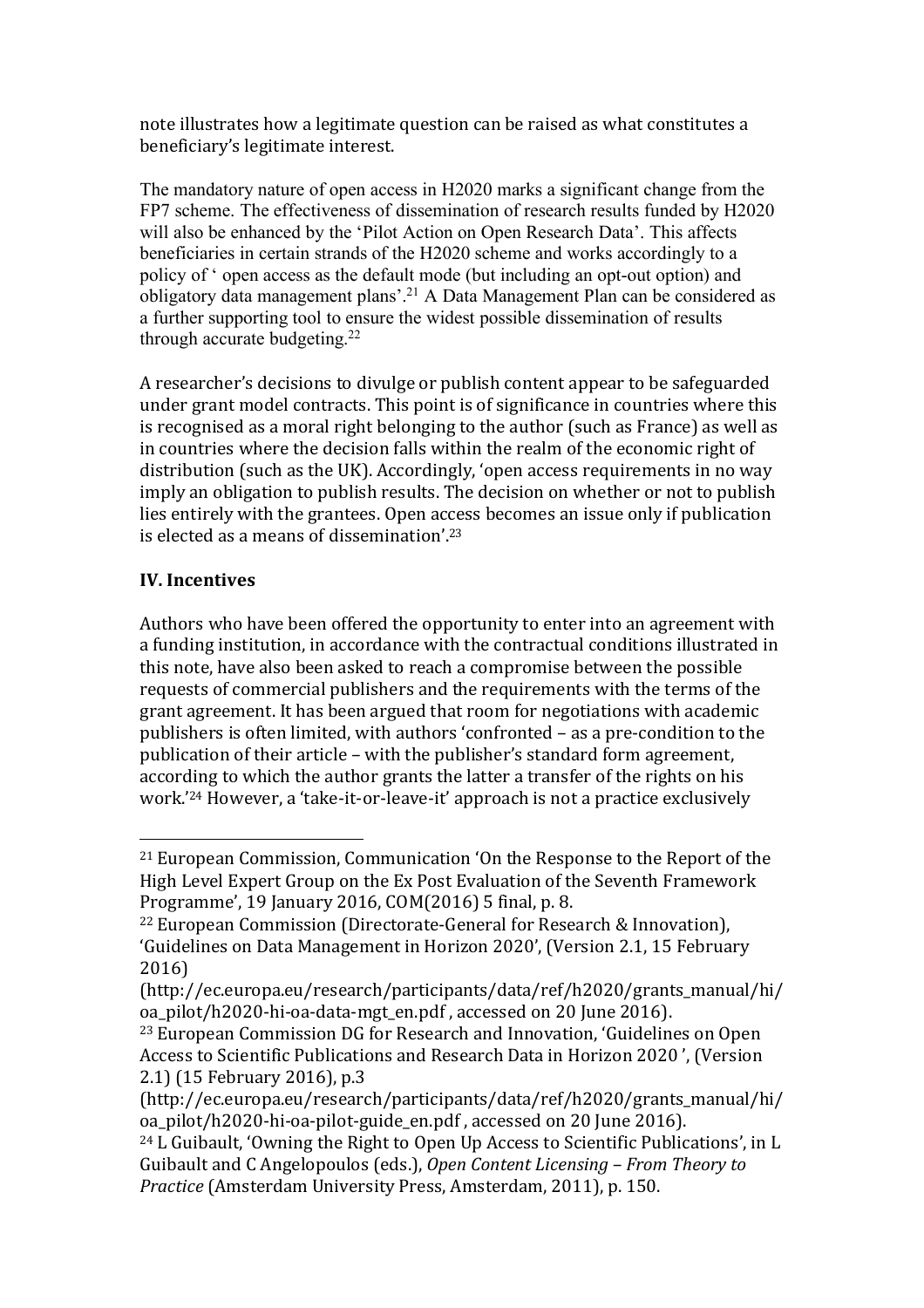note illustrates how a legitimate question can be raised as what constitutes a beneficiary's legitimate interest.

The mandatory nature of open access in H2020 marks a significant change from the FP7 scheme. The effectiveness of dissemination of research results funded by H2020 will also be enhanced by the 'Pilot Action on Open Research Data'. This affects beneficiaries in certain strands of the H2020 scheme and works accordingly to a policy of ' open access as the default mode (but including an opt-out option) and obligatory data management plans'.21 A Data Management Plan can be considered as a further supporting tool to ensure the widest possible dissemination of results through accurate budgeting.<sup>22</sup>

A researcher's decisions to divulge or publish content appear to be safeguarded under grant model contracts. This point is of significance in countries where this is recognised as a moral right belonging to the author (such as France) as well as in countries where the decision falls within the realm of the economic right of distribution (such as the UK). Accordingly, 'open access requirements in no way imply an obligation to publish results. The decision on whether or not to publish lies entirely with the grantees. Open access becomes an issue only if publication is elected as a means of dissemination'.<sup>23</sup>

#### **IV. Incentives**

 

Authors who have been offered the opportunity to enter into an agreement with a funding institution, in accordance with the contractual conditions illustrated in this note, have also been asked to reach a compromise between the possible requests of commercial publishers and the requirements with the terms of the grant agreement. It has been argued that room for negotiations with academic publishers is often limited, with authors 'confronted – as a pre-condition to the publication of their article – with the publisher's standard form agreement, according to which the author grants the latter a transfer of the rights on his work.<sup>'24</sup> However, a 'take-it-or-leave-it' approach is not a practice exclusively

<sup>&</sup>lt;sup>21</sup> European Commission, Communication 'On the Response to the Report of the High Level Expert Group on the Ex Post Evaluation of the Seventh Framework Programme', 19 January 2016, COM(2016) 5 final, p. 8.

<sup>&</sup>lt;sup>22</sup> European Commission (Directorate-General for Research & Innovation), 'Guidelines on Data Management in Horizon 2020', (Version 2.1, 15 February 2016)

<sup>(</sup>http://ec.europa.eu/research/participants/data/ref/h2020/grants\_manual/hi/ oa\_pilot/h2020-hi-oa-data-mgt\_en.pdf, accessed on 20 June 2016).

<sup>&</sup>lt;sup>23</sup> European Commission DG for Research and Innovation, 'Guidelines on Open Access to Scientific Publications and Research Data in Horizon 2020<sup>'</sup>, (Version 2.1) (15 February 2016), p.3

<sup>(</sup>http://ec.europa.eu/research/participants/data/ref/h2020/grants\_manual/hi/ oa\_pilot/h2020-hi-oa-pilot-guide\_en.pdf, accessed on 20 June 2016).

<sup>&</sup>lt;sup>24</sup> L Guibault, 'Owning the Right to Open Up Access to Scientific Publications', in L Guibault and C Angelopoulos (eds.), *Open Content Licensing – From Theory to Practice* (Amsterdam University Press, Amsterdam, 2011), p. 150.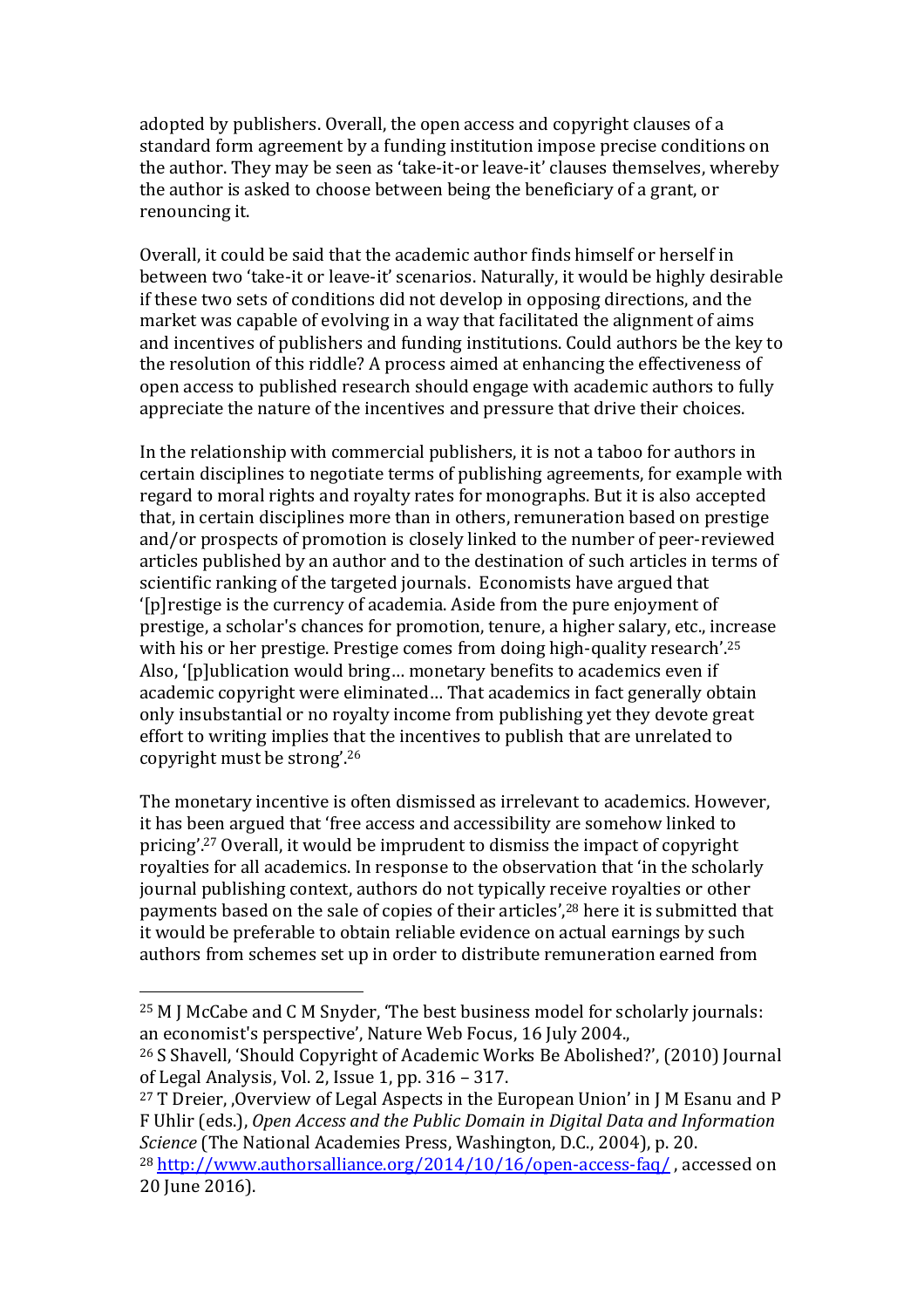adopted by publishers. Overall, the open access and copyright clauses of a standard form agreement by a funding institution impose precise conditions on the author. They may be seen as 'take-it-or leave-it' clauses themselves, whereby the author is asked to choose between being the beneficiary of a grant, or renouncing it. 

Overall, it could be said that the academic author finds himself or herself in between two 'take-it or leave-it' scenarios. Naturally, it would be highly desirable if these two sets of conditions did not develop in opposing directions, and the market was capable of evolving in a way that facilitated the alignment of aims and incentives of publishers and funding institutions. Could authors be the key to the resolution of this riddle? A process aimed at enhancing the effectiveness of open access to published research should engage with academic authors to fully appreciate the nature of the incentives and pressure that drive their choices.

In the relationship with commercial publishers, it is not a taboo for authors in certain disciplines to negotiate terms of publishing agreements, for example with regard to moral rights and royalty rates for monographs. But it is also accepted that, in certain disciplines more than in others, remuneration based on prestige and/or prospects of promotion is closely linked to the number of peer-reviewed articles published by an author and to the destination of such articles in terms of scientific ranking of the targeted journals. Economists have argued that '[p]restige is the currency of academia. Aside from the pure enjoyment of prestige, a scholar's chances for promotion, tenure, a higher salary, etc., increase with his or her prestige. Prestige comes from doing high-quality research'.<sup>25</sup> Also, '[p]ublication would bring... monetary benefits to academics even if academic copyright were eliminated... That academics in fact generally obtain only insubstantial or no royalty income from publishing yet they devote great effort to writing implies that the incentives to publish that are unrelated to copyright must be strong'.<sup>26</sup>

The monetary incentive is often dismissed as irrelevant to academics. However, it has been argued that 'free access and accessibility are somehow linked to pricing'.<sup>27</sup> Overall, it would be imprudent to dismiss the impact of copyright royalties for all academics. In response to the observation that 'in the scholarly journal publishing context, authors do not typically receive royalties or other payments based on the sale of copies of their articles',<sup>28</sup> here it is submitted that it would be preferable to obtain reliable evidence on actual earnings by such authors from schemes set up in order to distribute remuneration earned from

 $25$  M J McCabe and C M Snyder, 'The best business model for scholarly journals: an economist's perspective', Nature Web Focus, 16 July 2004.,

<sup>&</sup>lt;sup>26</sup> S Shavell, 'Should Copyright of Academic Works Be Abolished?', (2010) Journal of Legal Analysis, Vol. 2, Issue 1, pp. 316 - 317.

 $27$  T Dreier, Overview of Legal Aspects in the European Union' in J M Esanu and P F Uhlir (eds.), *Open Access and the Public Domain in Digital Data and Information Science* (The National Academies Press, Washington, D.C., 2004), p. 20.

 $28$  http://www.authorsalliance.org/2014/10/16/open-access-faq/, accessed on 20 June 2016).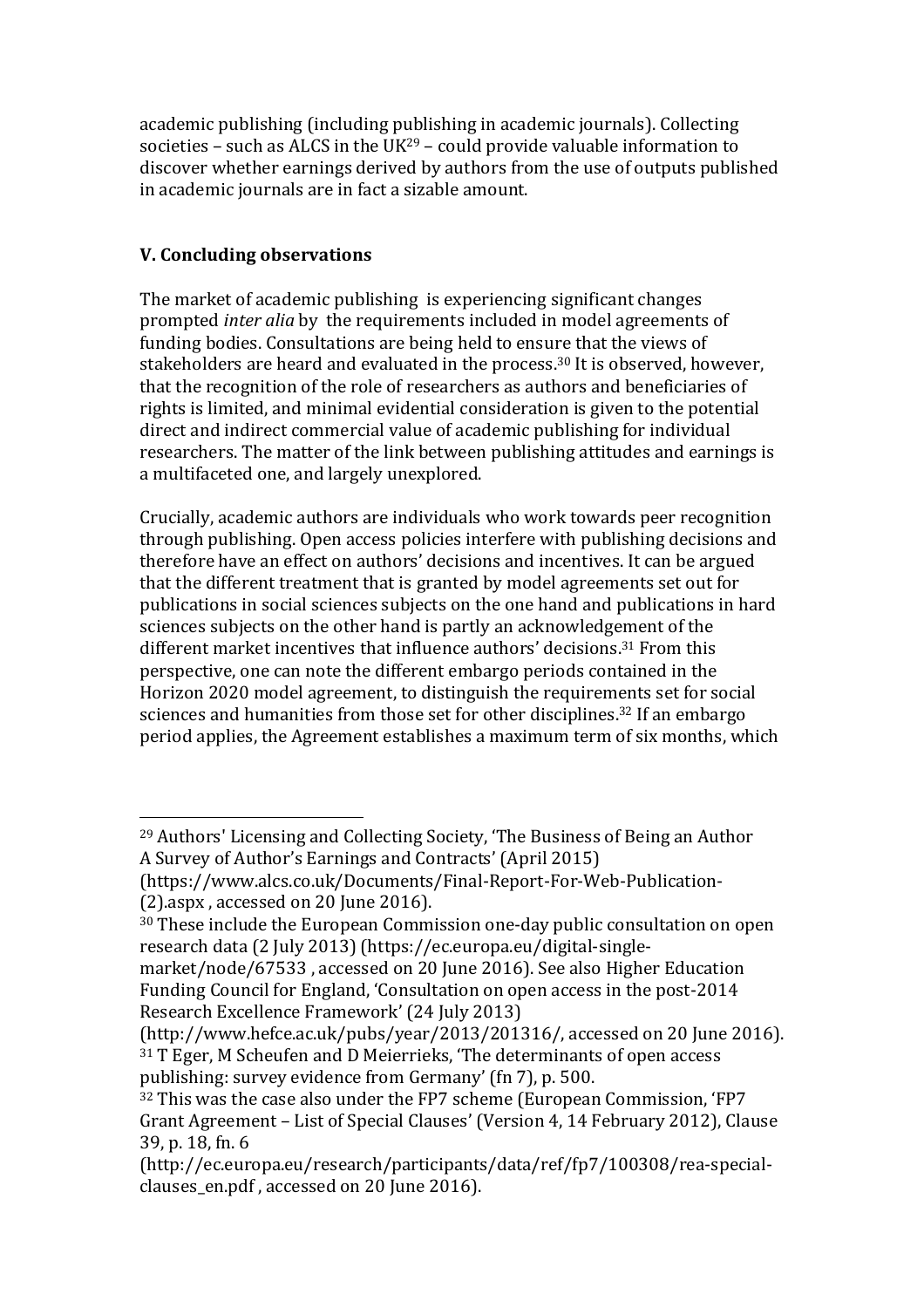academic publishing (including publishing in academic journals). Collecting societies – such as ALCS in the UK<sup>29</sup> – could provide valuable information to discover whether earnings derived by authors from the use of outputs published in academic journals are in fact a sizable amount.

## **V. Concluding observations**

 

The market of academic publishing is experiencing significant changes prompted *inter alia* by the requirements included in model agreements of funding bodies. Consultations are being held to ensure that the views of stakeholders are heard and evaluated in the process.<sup>30</sup> It is observed, however, that the recognition of the role of researchers as authors and beneficiaries of rights is limited, and minimal evidential consideration is given to the potential direct and indirect commercial value of academic publishing for individual researchers. The matter of the link between publishing attitudes and earnings is a multifaceted one, and largely unexplored.

Crucially, academic authors are individuals who work towards peer recognition through publishing. Open access policies interfere with publishing decisions and therefore have an effect on authors' decisions and incentives. It can be argued that the different treatment that is granted by model agreements set out for publications in social sciences subjects on the one hand and publications in hard sciences subjects on the other hand is partly an acknowledgement of the different market incentives that influence authors' decisions.<sup>31</sup> From this perspective, one can note the different embargo periods contained in the Horizon 2020 model agreement, to distinguish the requirements set for social sciences and humanities from those set for other disciplines.<sup>32</sup> If an embargo period applies, the Agreement establishes a maximum term of six months, which

<sup>&</sup>lt;sup>29</sup> Authors' Licensing and Collecting Society, 'The Business of Being an Author A Survey of Author's Earnings and Contracts' (April 2015)

<sup>(</sup>https://www.alcs.co.uk/Documents/Final-Report-For-Web-Publication-  $(2)$ .aspx, accessed on 20 June 2016).

<sup>&</sup>lt;sup>30</sup> These include the European Commission one-day public consultation on open research data (2 July 2013) (https://ec.europa.eu/digital-single-

market/node/67533, accessed on 20 June 2016). See also Higher Education Funding Council for England, 'Consultation on open access in the post-2014 Research Excellence Framework' (24 July 2013)

 $(\text{http://www.hefce.ac.uk/pubs/year}/2013/201316/$ , accessed on 20 June 2016). <sup>31</sup> T Eger, M Scheufen and D Meierrieks, 'The determinants of open access publishing: survey evidence from Germany' (fn 7), p. 500.

<sup>&</sup>lt;sup>32</sup> This was the case also under the FP7 scheme (European Commission, 'FP7 Grant Agreement - List of Special Clauses' (Version 4, 14 February 2012), Clause 39, p. 18, fn, 6

<sup>(</sup>http://ec.europa.eu/research/participants/data/ref/fp7/100308/rea-specialclauses en.pdf, accessed on 20 June 2016).